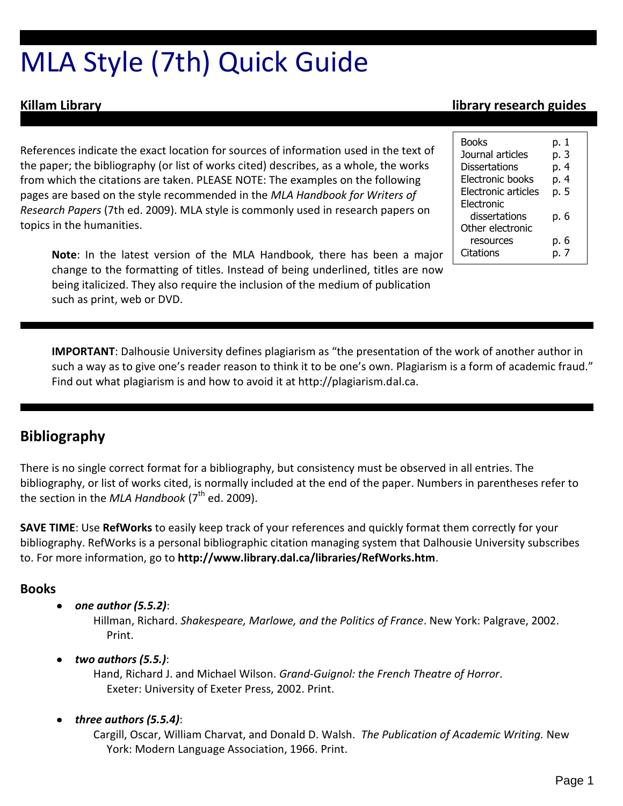# MLA Style (7th) Quick Guide

References indicate the exact location for sources of information used in the text of the paper; the bibliography (or list of works cited) describes, as a whole, the works from which the citations are taken. PLEASE NOTE: The examples on the following pages are based on the style recommended in the *MLA Handbook for Writers of Research Papers* (7th ed. 2009). MLA style is commonly used in research papers on topics in the humanities.

**Note**: In the latest version of the MLA Handbook, there has been a major change to the formatting of titles. Instead of being underlined, titles are now being italicized. They also require the inclusion of the medium of publication such as print, web or DVD.

# **Killam Library library research guides**

| <b>Books</b>        | p. 1 |
|---------------------|------|
| Journal articles    | p. 3 |
| Dissertations       | p. 4 |
| Electronic books    | p. 4 |
| Electronic articles | p. 5 |
| Electronic          |      |
| dissertations       | p. 6 |
| Other electronic    |      |
| resources           | р. 6 |
| Citations           | - 7  |

**IMPORTANT**: Dalhousie University defines plagiarism as "the presentation of the work of another author in such a way as to give one's reader reason to think it to be one's own. Plagiarism is a form of academic fraud." Find out what plagiarism is and how to avoid it at http://plagiarism.dal.ca.

# **Bibliography**

There is no single correct format for a bibliography, but consistency must be observed in all entries. The bibliography, or list of works cited, is normally included at the end of the paper. Numbers in parentheses refer to the section in the *MLA Handbook* (7<sup>th</sup> ed. 2009).

**SAVE TIME**: Use **RefWorks** to easily keep track of your references and quickly format them correctly for your bibliography. RefWorks is a personal bibliographic citation managing system that Dalhousie University subscribes to. For more information, go to **http://www.library.dal.ca/libraries/RefWorks.htm**.

# **Books**

*one author (5.5.2)*:

Hillman, Richard. *Shakespeare, Marlowe, and the Politics of France*. New York: Palgrave, 2002. Print.

# *two authors (5.5.)*:

Hand, Richard J. and Michael Wilson. *Grand-Guignol: the French Theatre of Horror*. Exeter: University of Exeter Press, 2002. Print.

### *three authors (5.5.4)*:

Cargill, Oscar, William Charvat, and Donald D. Walsh. *The Publication of Academic Writing.* New York: Modern Language Association, 1966. Print.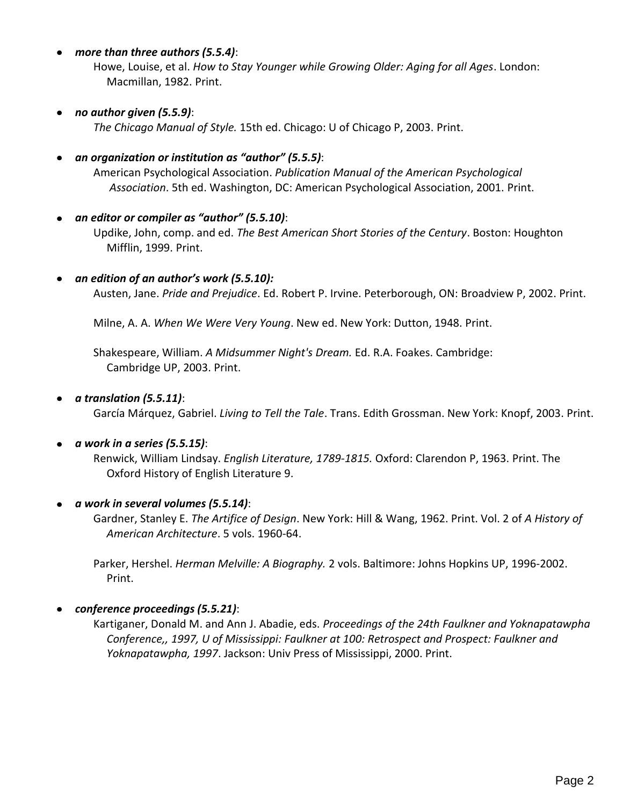#### *more than three authors (5.5.4)*:

Howe, Louise, et al. *How to Stay Younger while Growing Older: Aging for all Ages*. London: Macmillan, 1982. Print.

#### *no author given (5.5.9)*:

*The Chicago Manual of Style.* 15th ed. Chicago: U of Chicago P, 2003. Print.

#### *an organization or institution as "author" (5.5.5)*:

American Psychological Association. *Publication Manual of the American Psychological Association*. 5th ed. Washington, DC: American Psychological Association, 2001. Print.

#### *an editor or compiler as "author" (5.5.10)*:

Updike, John, comp. and ed. *The Best American Short Stories of the Century*. Boston: Houghton Mifflin, 1999. Print.

#### *an edition of an author's work (5.5.10):*

Austen, Jane. *Pride and Prejudice*. Ed. Robert P. Irvine. Peterborough, ON: Broadview P, 2002. Print.

Milne, A. A. *When We Were Very Young*. New ed. New York: Dutton, 1948. Print.

Shakespeare, William. *A Midsummer Night's Dream.* Ed. R.A. Foakes. Cambridge: Cambridge UP, 2003. Print.

#### *a translation (5.5.11)*:

García Márquez, Gabriel. *Living to Tell the Tale*. Trans. Edith Grossman. New York: Knopf, 2003. Print.

#### *a work in a series (5.5.15)*:

Renwick, William Lindsay. *English Literature, 1789-1815.* Oxford: Clarendon P, 1963. Print. The Oxford History of English Literature 9.

#### *a work in several volumes (5.5.14)*:

Gardner, Stanley E. *The Artifice of Design*. New York: Hill & Wang, 1962. Print. Vol. 2 of *A History of American Architecture*. 5 vols. 1960-64.

Parker, Hershel. *Herman Melville: A Biography.* 2 vols. Baltimore: Johns Hopkins UP, 1996-2002. Print.

### *conference proceedings (5.5.21)*:

Kartiganer, Donald M. and Ann J. Abadie, eds. *Proceedings of the 24th Faulkner and Yoknapatawpha Conference,, 1997, U of Mississippi: Faulkner at 100: Retrospect and Prospect: Faulkner and Yoknapatawpha, 1997*. Jackson: Univ Press of Mississippi, 2000. Print.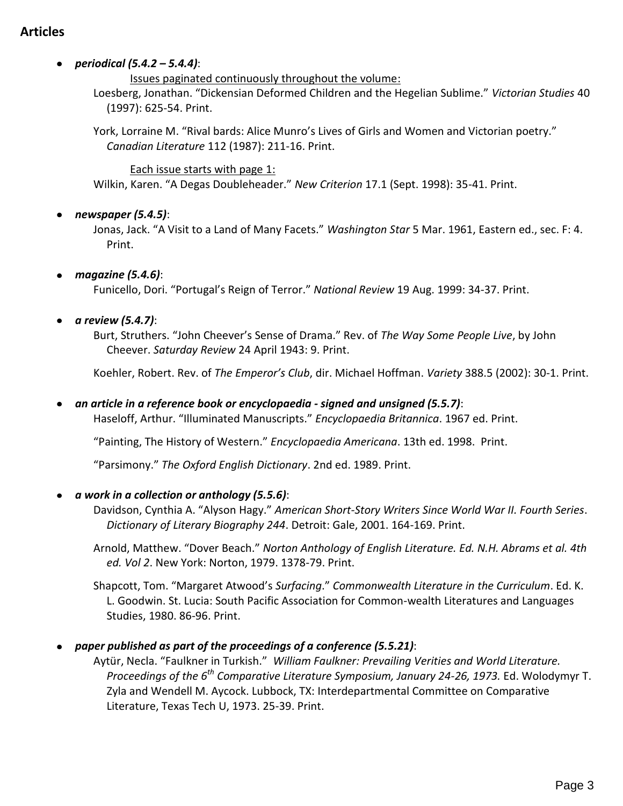# **Articles**

### *periodical (5.4.2 – 5.4.4)*:

Issues paginated continuously throughout the volume:

Loesberg, Jonathan. "Dickensian Deformed Children and the Hegelian Sublime." *Victorian Studies* 40 (1997): 625-54. Print.

York, Lorraine M. "Rival bards: Alice Munro's Lives of Girls and Women and Victorian poetry." *Canadian Literature* 112 (1987): 211-16. Print.

#### Each issue starts with page 1:

Wilkin, Karen. "A Degas Doubleheader." *New Criterion* 17.1 (Sept. 1998): 35-41. Print.

#### *newspaper (5.4.5)*:

Jonas, Jack. "A Visit to a Land of Many Facets." *Washington Star* 5 Mar. 1961, Eastern ed., sec. F: 4. Print.

#### *magazine (5.4.6)*:

Funicello, Dori. "Portugal's Reign of Terror." *National Review* 19 Aug. 1999: 34-37. Print.

#### *a review (5.4.7)*:

Burt, Struthers. "John Cheever's Sense of Drama." Rev. of *The Way Some People Live*, by John Cheever. *Saturday Review* 24 April 1943: 9. Print.

Koehler, Robert. Rev. of *The Emperor's Club*, dir. Michael Hoffman. *Variety* 388.5 (2002): 30-1. Print.

### *an article in a reference book or encyclopaedia - signed and unsigned (5.5.7)*:

Haseloff, Arthur. "Illuminated Manuscripts." *Encyclopaedia Britannica*. 1967 ed. Print.

"Painting, The History of Western." *Encyclopaedia Americana*. 13th ed. 1998. Print.

"Parsimony." *The Oxford English Dictionary*. 2nd ed. 1989. Print.

#### *a work in a collection or anthology (5.5.6)*:

Davidson, Cynthia A. "Alyson Hagy." *American Short-Story Writers Since World War II. Fourth Series*. *Dictionary of Literary Biography 244*. Detroit: Gale, 2001. 164-169. Print.

Arnold, Matthew. "Dover Beach." *Norton Anthology of English Literature. Ed. N.H. Abrams et al. 4th ed. Vol 2*. New York: Norton, 1979. 1378-79. Print.

Shapcott, Tom. "Margaret Atwood's *Surfacing*." *Commonwealth Literature in the Curriculum*. Ed. K. L. Goodwin. St. Lucia: South Pacific Association for Common-wealth Literatures and Languages Studies, 1980. 86-96. Print.

### *paper published as part of the proceedings of a conference (5.5.21)*:

Aytür, Necla. "Faulkner in Turkish." *William Faulkner: Prevailing Verities and World Literature. Proceedings of the 6th Comparative Literature Symposium, January 24-26, 1973.* Ed. Wolodymyr T. Zyla and Wendell M. Aycock. Lubbock, TX: Interdepartmental Committee on Comparative Literature, Texas Tech U, 1973. 25-39. Print.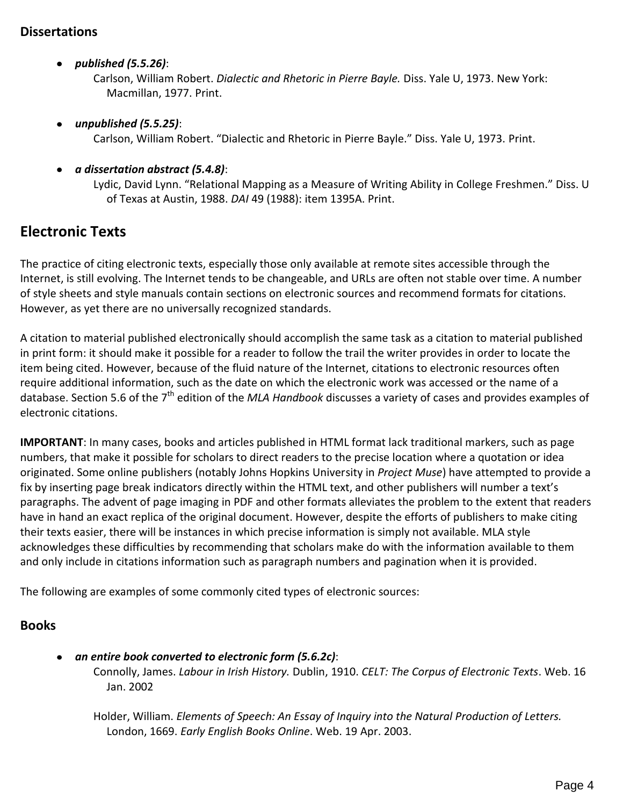# **Dissertations**

*published (5.5.26)*:

Carlson, William Robert. *Dialectic and Rhetoric in Pierre Bayle.* Diss. Yale U, 1973. New York: Macmillan, 1977. Print.

*unpublished (5.5.25)*:

Carlson, William Robert. "Dialectic and Rhetoric in Pierre Bayle." Diss. Yale U, 1973. Print.

*a dissertation abstract (5.4.8)*:

Lydic, David Lynn. "Relational Mapping as a Measure of Writing Ability in College Freshmen." Diss. U of Texas at Austin, 1988. *DAI* 49 (1988): item 1395A. Print.

# **Electronic Texts**

The practice of citing electronic texts, especially those only available at remote sites accessible through the Internet, is still evolving. The Internet tends to be changeable, and URLs are often not stable over time. A number of style sheets and style manuals contain sections on electronic sources and recommend formats for citations. However, as yet there are no universally recognized standards.

A citation to material published electronically should accomplish the same task as a citation to material published in print form: it should make it possible for a reader to follow the trail the writer provides in order to locate the item being cited. However, because of the fluid nature of the Internet, citations to electronic resources often require additional information, such as the date on which the electronic work was accessed or the name of a database. Section 5.6 of the 7<sup>th</sup> edition of the *MLA Handbook* discusses a variety of cases and provides examples of electronic citations.

**IMPORTANT**: In many cases, books and articles published in HTML format lack traditional markers, such as page numbers, that make it possible for scholars to direct readers to the precise location where a quotation or idea originated. Some online publishers (notably Johns Hopkins University in *Project Muse*) have attempted to provide a fix by inserting page break indicators directly within the HTML text, and other publishers will number a text's paragraphs. The advent of page imaging in PDF and other formats alleviates the problem to the extent that readers have in hand an exact replica of the original document. However, despite the efforts of publishers to make citing their texts easier, there will be instances in which precise information is simply not available. MLA style acknowledges these difficulties by recommending that scholars make do with the information available to them and only include in citations information such as paragraph numbers and pagination when it is provided.

The following are examples of some commonly cited types of electronic sources:

### **Books**

*an entire book converted to electronic form (5.6.2c)*: Connolly, James. *Labour in Irish History.* Dublin, 1910. *CELT: The Corpus of Electronic Texts*. Web. 16 Jan. 2002

Holder, William. *Elements of Speech: An Essay of Inquiry into the Natural Production of Letters.* London, 1669. *Early English Books Online*. Web. 19 Apr. 2003.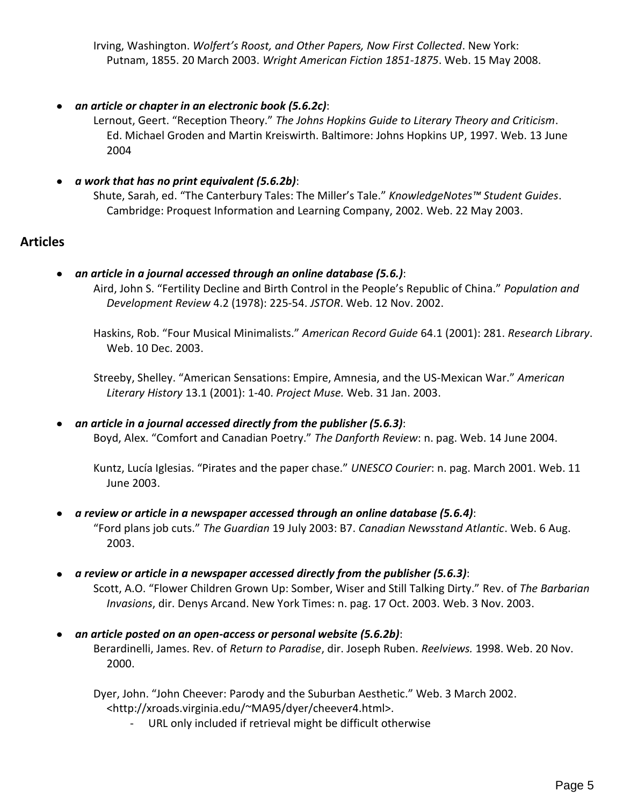Irving, Washington. *Wolfert's Roost, and Other Papers, Now First Collected*. New York: Putnam, 1855. 20 March 2003. *Wright American Fiction 1851-1875*. Web. 15 May 2008.

*an article or chapter in an electronic book (5.6.2c)*:

Lernout, Geert. "Reception Theory." *The Johns Hopkins Guide to Literary Theory and Criticism*. Ed. Michael Groden and Martin Kreiswirth. Baltimore: Johns Hopkins UP, 1997. Web. 13 June 2004

- *a work that has no print equivalent (5.6.2b)*:
	- Shute, Sarah, ed. "The Canterbury Tales: The Miller's Tale." *KnowledgeNotes™ Student Guides*. Cambridge: Proquest Information and Learning Company, 2002. Web. 22 May 2003.

# **Articles**

*an article in a journal accessed through an online database (5.6.)*:

Aird, John S. "Fertility Decline and Birth Control in the People's Republic of China." *Population and Development Review* 4.2 (1978): 225-54. *JSTOR*. Web. 12 Nov. 2002.

Haskins, Rob. "Four Musical Minimalists." *American Record Guide* 64.1 (2001): 281. *Research Library*. Web. 10 Dec. 2003.

 Streeby, Shelley. "American Sensations: Empire, Amnesia, and the US-Mexican War." *American Literary History* 13.1 (2001): 1-40. *Project Muse.* Web. 31 Jan. 2003.

*an article in a journal accessed directly from the publisher (5.6.3)*: Boyd, Alex. "Comfort and Canadian Poetry." *The Danforth Review*: n. pag. Web. 14 June 2004.

Kuntz, Lucía Iglesias. "Pirates and the paper chase." *UNESCO Courier*: n. pag. March 2001. Web. 11 June 2003.

- *a review or article in a newspaper accessed through an online database (5.6.4)*: "Ford plans job cuts." *The Guardian* 19 July 2003: B7. *Canadian Newsstand Atlantic*. Web. 6 Aug. 2003.
- *a review or article in a newspaper accessed directly from the publisher (5.6.3)*: Scott, A.O. "Flower Children Grown Up: Somber, Wiser and Still Talking Dirty." Rev. of *The Barbarian Invasions*, dir. Denys Arcand. New York Times: n. pag. 17 Oct. 2003. Web. 3 Nov. 2003.
- *an article posted on an open-access or personal website (5.6.2b)*: Berardinelli, James. Rev. of *Return to Paradise*, dir. Joseph Ruben. *Reelviews.* 1998. Web. 20 Nov. 2000.

Dyer, John. "John Cheever: Parody and the Suburban Aesthetic." Web. 3 March 2002. <http://xroads.virginia.edu/~MA95/dyer/cheever4.html>.

- URL only included if retrieval might be difficult otherwise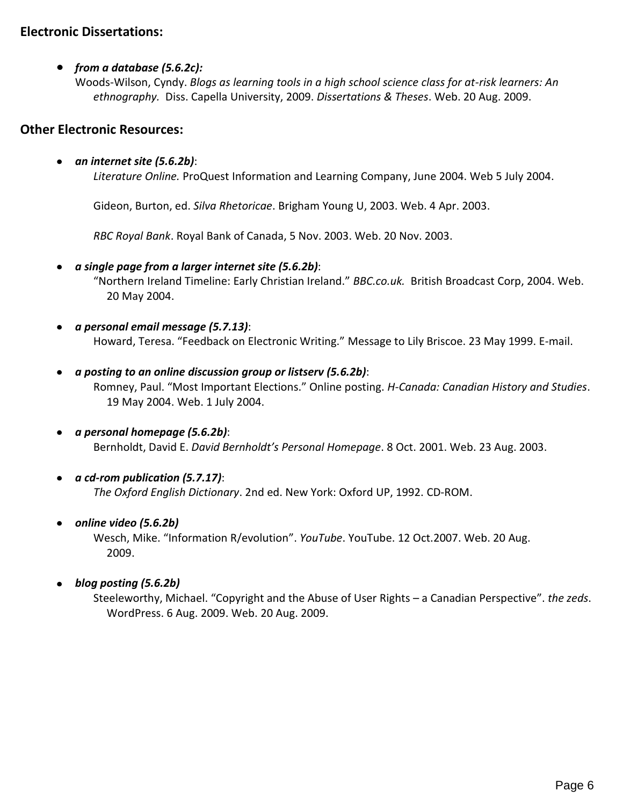# **Electronic Dissertations:**

#### *from a database (5.6.2c):*

Woods-Wilson, Cyndy. *Blogs as learning tools in a high school science class for at-risk learners: An ethnography.* Diss. Capella University, 2009. *Dissertations & Theses*. Web. 20 Aug. 2009.

# **Other Electronic Resources:**

#### *an internet site (5.6.2b)*:

*Literature Online.* ProQuest Information and Learning Company, June 2004. Web 5 July 2004.

Gideon, Burton, ed. *Silva Rhetoricae*. Brigham Young U, 2003. Web. 4 Apr. 2003.

*RBC Royal Bank*. Royal Bank of Canada, 5 Nov. 2003. Web. 20 Nov. 2003.

#### *a single page from a larger internet site (5.6.2b)*:

"Northern Ireland Timeline: Early Christian Ireland." *BBC.co.uk.* British Broadcast Corp, 2004. Web. 20 May 2004.

- *a personal email message (5.7.13)*: Howard, Teresa. "Feedback on Electronic Writing." Message to Lily Briscoe. 23 May 1999. E-mail.
- *a posting to an online discussion group or listserv (5.6.2b)*: Romney, Paul. "Most Important Elections." Online posting. *H-Canada: Canadian History and Studies*. 19 May 2004. Web. 1 July 2004.
- *a personal homepage (5.6.2b)*: Bernholdt, David E. *David Bernholdt's Personal Homepage*. 8 Oct. 2001. Web. 23 Aug. 2003.
- *a cd-rom publication (5.7.17)*:

*The Oxford English Dictionary*. 2nd ed. New York: Oxford UP, 1992. CD-ROM.

#### *online video (5.6.2b)*

Wesch, Mike. "Information R/evolution". *YouTube*. YouTube. 12 Oct.2007. Web. 20 Aug. 2009.

### *blog posting (5.6.2b)*

Steeleworthy, Michael. "Copyright and the Abuse of User Rights – a Canadian Perspective". *the zeds*. WordPress. 6 Aug. 2009. Web. 20 Aug. 2009.